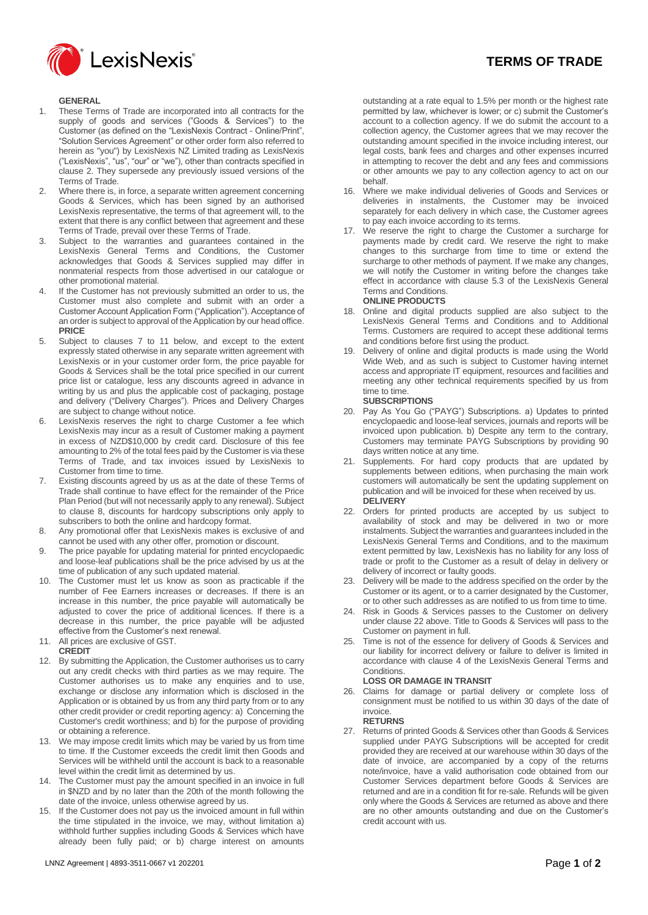

### **GENERAL**

- 1. These Terms of Trade are incorporated into all contracts for the supply of goods and services ("Goods & Services") to the Customer (as defined on the "LexisNexis Contract - Online/Print", "Solution Services Agreement" or other order form also referred to herein as "you") by LexisNexis NZ Limited trading as LexisNexis ("LexisNexis", "us", "our" or "we"), other than contracts specified in clause 2. They supersede any previously issued versions of the Terms of Trade.
- 2. Where there is, in force, a separate written agreement concerning Goods & Services, which has been signed by an authorised LexisNexis representative, the terms of that agreement will, to the extent that there is any conflict between that agreement and these Terms of Trade, prevail over these Terms of Trade.
- 3. Subject to the warranties and guarantees contained in the LexisNexis General Terms and Conditions, the Customer acknowledges that Goods & Services supplied may differ in nonmaterial respects from those advertised in our catalogue or other promotional material.
- 4. If the Customer has not previously submitted an order to us, the Customer must also complete and submit with an order a Customer Account Application Form ("Application"). Acceptance of an order is subject to approval of the Application by our head office. **PRICE**
- 5. Subject to clauses 7 to 11 below, and except to the extent expressly stated otherwise in any separate written agreement with LexisNexis or in your customer order form, the price payable for Goods & Services shall be the total price specified in our current price list or catalogue, less any discounts agreed in advance in writing by us and plus the applicable cost of packaging, postage and delivery ("Delivery Charges"). Prices and Delivery Charges are subject to change without notice.
- 6. LexisNexis reserves the right to charge Customer a fee which LexisNexis may incur as a result of Customer making a payment in excess of NZD\$10,000 by credit card. Disclosure of this fee amounting to 2% of the total fees paid by the Customer is via these Terms of Trade, and tax invoices issued by LexisNexis to Customer from time to time.
- Existing discounts agreed by us as at the date of these Terms of Trade shall continue to have effect for the remainder of the Price Plan Period (but will not necessarily apply to any renewal). Subject to clause 8, discounts for hardcopy subscriptions only apply to subscribers to both the online and hardcopy format.
- 8. Any promotional offer that LexisNexis makes is exclusive of and cannot be used with any other offer, promotion or discount.
- 9. The price payable for updating material for printed encyclopaedic and loose-leaf publications shall be the price advised by us at the time of publication of any such updated material.
- 10. The Customer must let us know as soon as practicable if the number of Fee Earners increases or decreases. If there is an increase in this number, the price payable will automatically be adjusted to cover the price of additional licences. If there is a decrease in this number, the price payable will be adjusted effective from the Customer's next renewal.
- 11. All prices are exclusive of GST.
- **CREDIT**
- 12. By submitting the Application, the Customer authorises us to carry out any credit checks with third parties as we may require. The Customer authorises us to make any enquiries and to use, exchange or disclose any information which is disclosed in the Application or is obtained by us from any third party from or to any other credit provider or credit reporting agency: a) Concerning the Customer's credit worthiness; and b) for the purpose of providing or obtaining a reference.
- 13. We may impose credit limits which may be varied by us from time to time. If the Customer exceeds the credit limit then Goods and Services will be withheld until the account is back to a reasonable level within the credit limit as determined by us.
- 14. The Customer must pay the amount specified in an invoice in full in \$NZD and by no later than the 20th of the month following the date of the invoice, unless otherwise agreed by us.
- 15. If the Customer does not pay us the invoiced amount in full within the time stipulated in the invoice, we may, without limitation a) withhold further supplies including Goods & Services which have already been fully paid; or b) charge interest on amounts

outstanding at a rate equal to 1.5% per month or the highest rate permitted by law, whichever is lower; or c) submit the Customer's account to a collection agency. If we do submit the account to a collection agency, the Customer agrees that we may recover the outstanding amount specified in the invoice including interest, our legal costs, bank fees and charges and other expenses incurred in attempting to recover the debt and any fees and commissions or other amounts we pay to any collection agency to act on our behalf.

- 16. Where we make individual deliveries of Goods and Services or deliveries in instalments, the Customer may be invoiced separately for each delivery in which case, the Customer agrees to pay each invoice according to its terms.
- 17. We reserve the right to charge the Customer a surcharge for payments made by credit card. We reserve the right to make changes to this surcharge from time to time or extend the surcharge to other methods of payment. If we make any changes, we will notify the Customer in writing before the changes take effect in accordance with clause 5.3 of the LexisNexis General Terms and Conditions. **ONLINE PRODUCTS**
- 18. Online and digital products supplied are also subject to the LexisNexis General Terms and Conditions and to Additional Terms. Customers are required to accept these additional terms and conditions before first using the product.
- 19. Delivery of online and digital products is made using the World Wide Web, and as such is subject to Customer having internet access and appropriate IT equipment, resources and facilities and meeting any other technical requirements specified by us from time to time. **SUBSCRIPTIONS**
- 20. Pay As You Go ("PAYG") Subscriptions. a) Updates to printed encyclopaedic and loose-leaf services, journals and reports will be invoiced upon publication. b) Despite any term to the contrary, Customers may terminate PAYG Subscriptions by providing 90 days written notice at any time.
- 21. Supplements. For hard copy products that are updated by supplements between editions, when purchasing the main work customers will automatically be sent the updating supplement on publication and will be invoiced for these when received by us. **DELIVERY**
- 22. Orders for printed products are accepted by us subject to availability of stock and may be delivered in two or more instalments. Subject the warranties and guarantees included in the LexisNexis General Terms and Conditions, and to the maximum extent permitted by law, LexisNexis has no liability for any loss of trade or profit to the Customer as a result of delay in delivery or delivery of incorrect or faulty goods.
- 23. Delivery will be made to the address specified on the order by the Customer or its agent, or to a carrier designated by the Customer, or to other such addresses as are notified to us from time to time.
- 24. Risk in Goods & Services passes to the Customer on delivery under clause 22 above. Title to Goods & Services will pass to the Customer on payment in full.
- 25. Time is not of the essence for delivery of Goods & Services and our liability for incorrect delivery or failure to deliver is limited in accordance with clause 4 of the LexisNexis General Terms and Conditions.

#### **LOSS OR DAMAGE IN TRANSIT**

26. Claims for damage or partial delivery or complete loss of consignment must be notified to us within 30 days of the date of invoice.

### **RETURNS**

27. Returns of printed Goods & Services other than Goods & Services supplied under PAYG Subscriptions will be accepted for credit provided they are received at our warehouse within 30 days of the date of invoice, are accompanied by a copy of the returns note/invoice, have a valid authorisation code obtained from our Customer Services department before Goods & Services are returned and are in a condition fit for re-sale. Refunds will be given only where the Goods & Services are returned as above and there are no other amounts outstanding and due on the Customer's credit account with us.